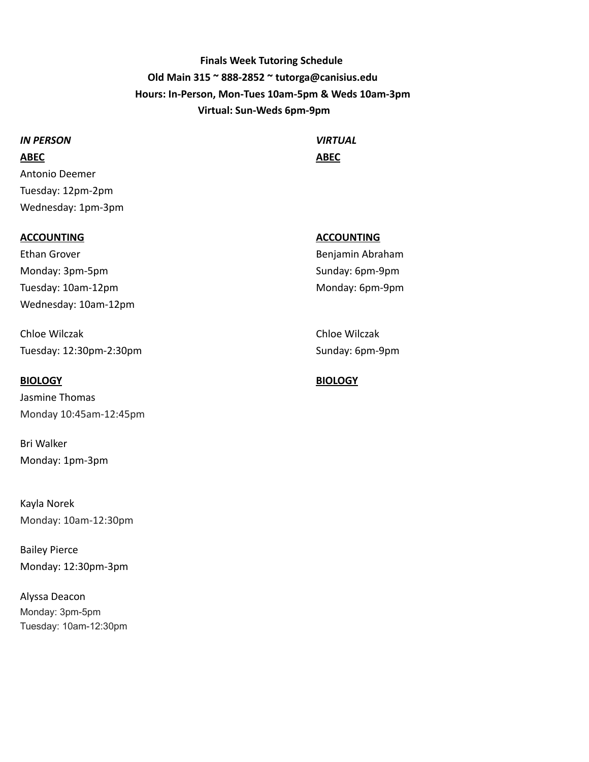**Finals Week Tutoring Schedule Old Main 315 ~ 888-2852 ~ tutorga@canisius.edu Hours: In-Person, Mon-Tues 10am-5pm & Weds 10am-3pm Virtual: Sun-Weds 6pm-9pm**

#### *IN PERSON VIRTUAL*

**ABEC ABEC** Antonio Deemer Tuesday: 12pm-2pm Wednesday: 1pm-3pm

#### **ACCOUNTING ACCOUNTING**

Ethan Grover **Benjamin Abraham** Monday: 3pm-5pm Sunday: 6pm-9pm Tuesday: 10am-12pm Monday: 6pm-9pm Wednesday: 10am-12pm

Chloe Wilczak Chloe Wilczak Tuesday: 12:30pm-2:30pm Sunday: 6pm-9pm

Jasmine Thomas Monday 10:45am-12:45pm

Bri Walker Monday: 1pm-3pm

Kayla Norek Monday: 10am-12:30pm

Bailey Pierce Monday: 12:30pm-3pm

Alyssa Deacon Monday: 3pm-5pm Tuesday: 10am-12:30pm

### **BIOLOGY BIOLOGY**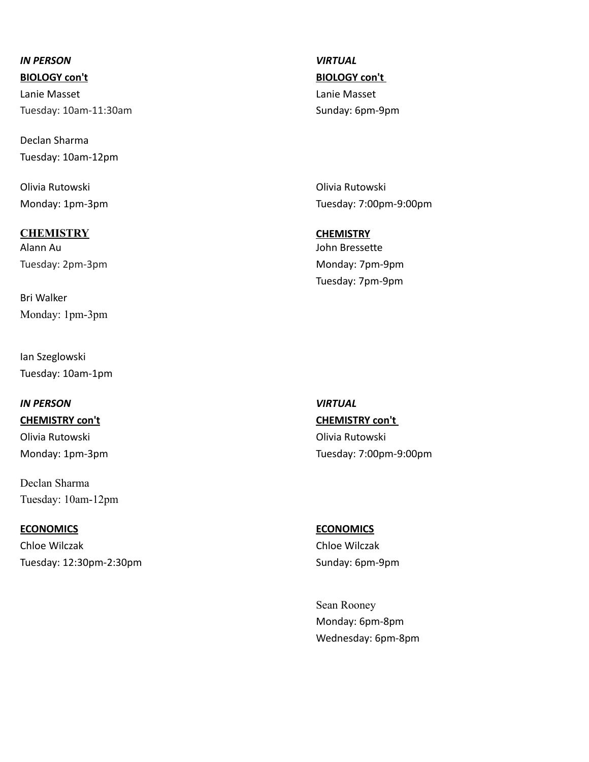## *IN PERSON VIRTUAL*

Tuesday: 10am-11:30am Sunday: 6pm-9pm

Declan Sharma Tuesday: 10am-12pm

Olivia Rutowski Olivia Rutowski

### **CHEMISTRY CHEMISTRY**

Tuesday: 2pm-3pm and the control of the control of the Monday: 7pm-9pm

Bri Walker Monday: 1pm-3pm

Ian Szeglowski Tuesday: 10am-1pm

### *IN PERSON VIRTUAL*

**CHEMISTRY con't CHEMISTRY con't**  Olivia Rutowski Olivia Rutowski

Declan Sharma Tuesday: 10am-12pm

#### **ECONOMICS ECONOMICS**

Chloe Wilczak Chloe Wilczak Tuesday: 12:30pm-2:30pm Sunday: 6pm-9pm

**BIOLOGY con't BIOLOGY con't**  Lanie Masset Lanie Masset

Monday: 1pm-3pm Tuesday: 7:00pm-9:00pm

Alann Au John Bressette Tuesday: 7pm-9pm

Monday: 1pm-3pm Tuesday: 7:00pm-9:00pm

Sean Rooney Monday: 6pm-8pm Wednesday: 6pm-8pm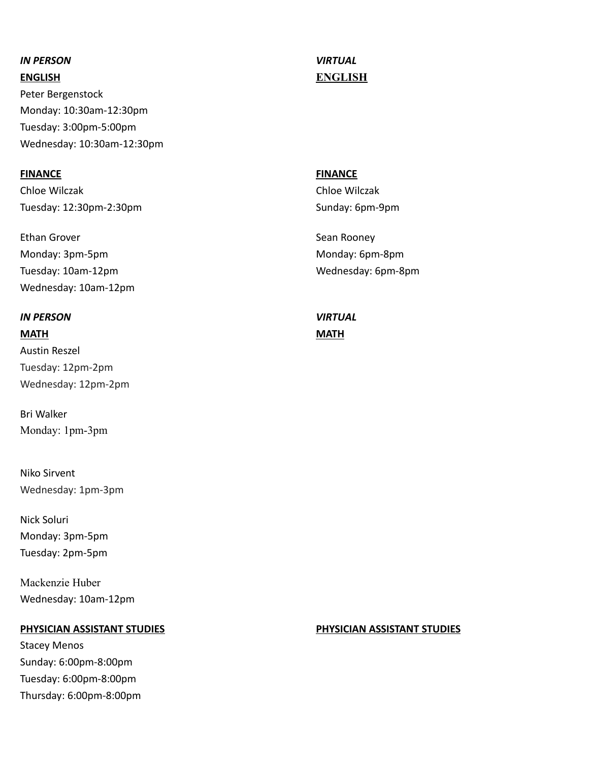### *IN PERSON VIRTUAL*

Peter Bergenstock Monday: 10:30am-12:30pm Tuesday: 3:00pm-5:00pm Wednesday: 10:30am-12:30pm

### **FINANCE FINANCE**

Chloe Wilczak Chloe Wilczak Tuesday: 12:30pm-2:30pm Sunday: 6pm-9pm

Ethan Grover **Sean Rooney** Sean Rooney Monday: 3pm-5pm Monday: 6pm-8pm Tuesday: 10am-12pm Wednesday: 6pm-8pm Wednesday: 10am-12pm

### *IN PERSON VIRTUAL*

**MATH MATH** Austin Reszel Tuesday: 12pm-2pm Wednesday: 12pm-2pm

Bri Walker Monday: 1pm-3pm

Niko Sirvent Wednesday: 1pm-3pm

Nick Soluri Monday: 3pm-5pm Tuesday: 2pm-5pm

Mackenzie Huber Wednesday: 10am-12pm

### **PHYSICIAN ASSISTANT STUDIES PHYSICIAN ASSISTANT STUDIES**

Stacey Menos Sunday: 6:00pm-8:00pm Tuesday: 6:00pm-8:00pm Thursday: 6:00pm-8:00pm

# **ENGLISH ENGLISH**